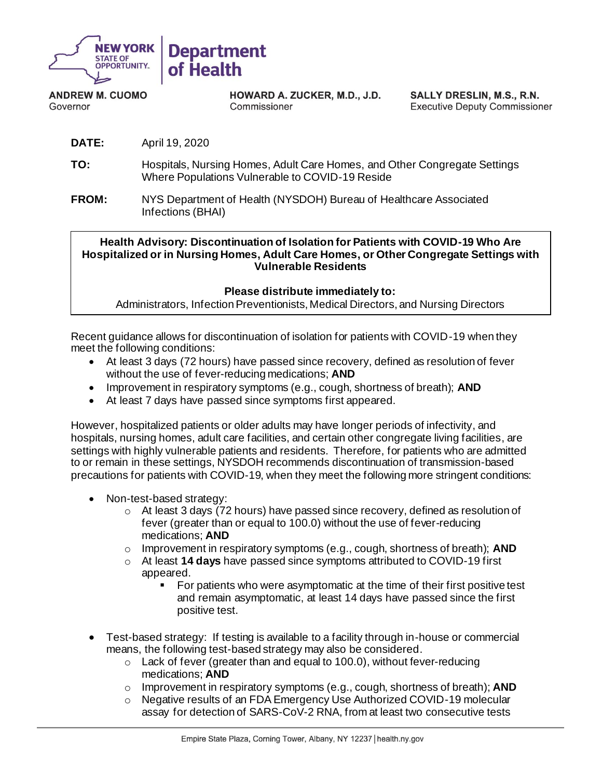

**ANDREW M. CUOMO** Governor

HOWARD A. ZUCKER, M.D., J.D. Commissioner

SALLY DRESLIN, M.S., R.N. **Executive Deputy Commissioner** 

- **DATE:** April 19, 2020
- **TO:** Hospitals, Nursing Homes, Adult Care Homes, and Other Congregate Settings Where Populations Vulnerable to COVID-19 Reside
- **FROM:** NYS Department of Health (NYSDOH) Bureau of Healthcare Associated Infections (BHAI)

**Health Advisory: Discontinuation of Isolation for Patients with COVID-19 Who Are Hospitalized or in Nursing Homes, Adult Care Homes, or Other Congregate Settings with Vulnerable Residents**

## **Please distribute immediately to:**

Administrators, Infection Preventionists, Medical Directors, and Nursing Directors

Recent guidance allows for discontinuation of isolation for patients with COVID-19 when they meet the following conditions:

- At least 3 days (72 hours) have passed since recovery, defined as resolution of fever without the use of fever-reducing medications; **AND**
- Improvement in respiratory symptoms (e.g., cough, shortness of breath); **AND**
- At least 7 days have passed since symptoms first appeared.

However, hospitalized patients or older adults may have longer periods of infectivity, and hospitals, nursing homes, adult care facilities, and certain other congregate living facilities, are settings with highly vulnerable patients and residents. Therefore, for patients who are admitted to or remain in these settings, NYSDOH recommends discontinuation of transmission-based precautions for patients with COVID-19, when they meet the following more stringent conditions:

- Non-test-based strategy:
	- $\circ$  At least 3 days (72 hours) have passed since recovery, defined as resolution of fever (greater than or equal to 100.0) without the use of fever-reducing medications; **AND**
	- o Improvement in respiratory symptoms (e.g., cough, shortness of breath); **AND**
	- o At least **14 days** have passed since symptoms attributed to COVID-19 first appeared.
		- For patients who were asymptomatic at the time of their first positive test and remain asymptomatic, at least 14 days have passed since the first positive test.
- Test-based strategy: If testing is available to a facility through in-house or commercial means, the following test-based strategy may also be considered.
	- $\circ$  Lack of fever (greater than and equal to 100.0), without fever-reducing medications; **AND**
	- o Improvement in respiratory symptoms (e.g., cough, shortness of breath); **AND**
	- o Negative results of an FDA Emergency Use Authorized COVID-19 molecular assay for detection of SARS-CoV-2 RNA, from at least two consecutive tests